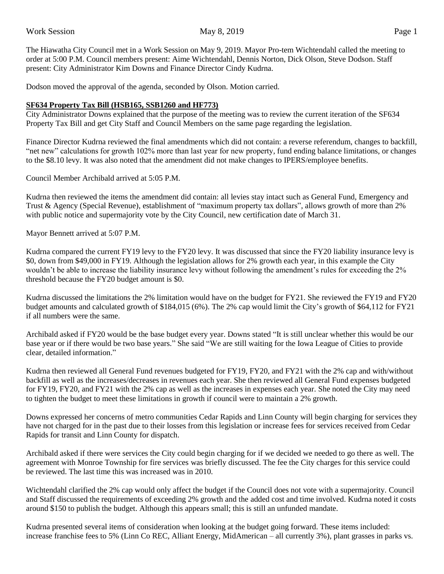The Hiawatha City Council met in a Work Session on May 9, 2019. Mayor Pro-tem Wichtendahl called the meeting to order at 5:00 P.M. Council members present: Aime Wichtendahl, Dennis Norton, Dick Olson, Steve Dodson. Staff present: City Administrator Kim Downs and Finance Director Cindy Kudrna.

Dodson moved the approval of the agenda, seconded by Olson. Motion carried.

## **SF634 Property Tax Bill (HSB165, SSB1260 and HF773)**

City Administrator Downs explained that the purpose of the meeting was to review the current iteration of the SF634 Property Tax Bill and get City Staff and Council Members on the same page regarding the legislation.

Finance Director Kudrna reviewed the final amendments which did not contain: a reverse referendum, changes to backfill, "net new" calculations for growth 102% more than last year for new property, fund ending balance limitations, or changes to the \$8.10 levy. It was also noted that the amendment did not make changes to IPERS/employee benefits.

Council Member Archibald arrived at 5:05 P.M.

Kudrna then reviewed the items the amendment did contain: all levies stay intact such as General Fund, Emergency and Trust & Agency (Special Revenue), establishment of "maximum property tax dollars", allows growth of more than 2% with public notice and supermajority vote by the City Council, new certification date of March 31.

Mayor Bennett arrived at 5:07 P.M.

Kudrna compared the current FY19 levy to the FY20 levy. It was discussed that since the FY20 liability insurance levy is \$0, down from \$49,000 in FY19. Although the legislation allows for 2% growth each year, in this example the City wouldn't be able to increase the liability insurance levy without following the amendment's rules for exceeding the 2% threshold because the FY20 budget amount is \$0.

Kudrna discussed the limitations the 2% limitation would have on the budget for FY21. She reviewed the FY19 and FY20 budget amounts and calculated growth of \$184,015 (6%). The 2% cap would limit the City's growth of \$64,112 for FY21 if all numbers were the same.

Archibald asked if FY20 would be the base budget every year. Downs stated "It is still unclear whether this would be our base year or if there would be two base years." She said "We are still waiting for the Iowa League of Cities to provide clear, detailed information."

Kudrna then reviewed all General Fund revenues budgeted for FY19, FY20, and FY21 with the 2% cap and with/without backfill as well as the increases/decreases in revenues each year. She then reviewed all General Fund expenses budgeted for FY19, FY20, and FY21 with the 2% cap as well as the increases in expenses each year. She noted the City may need to tighten the budget to meet these limitations in growth if council were to maintain a 2% growth.

Downs expressed her concerns of metro communities Cedar Rapids and Linn County will begin charging for services they have not charged for in the past due to their losses from this legislation or increase fees for services received from Cedar Rapids for transit and Linn County for dispatch.

Archibald asked if there were services the City could begin charging for if we decided we needed to go there as well. The agreement with Monroe Township for fire services was briefly discussed. The fee the City charges for this service could be reviewed. The last time this was increased was in 2010.

Wichtendahl clarified the 2% cap would only affect the budget if the Council does not vote with a supermajority. Council and Staff discussed the requirements of exceeding 2% growth and the added cost and time involved. Kudrna noted it costs around \$150 to publish the budget. Although this appears small; this is still an unfunded mandate.

Kudrna presented several items of consideration when looking at the budget going forward. These items included: increase franchise fees to 5% (Linn Co REC, Alliant Energy, MidAmerican – all currently 3%), plant grasses in parks vs.